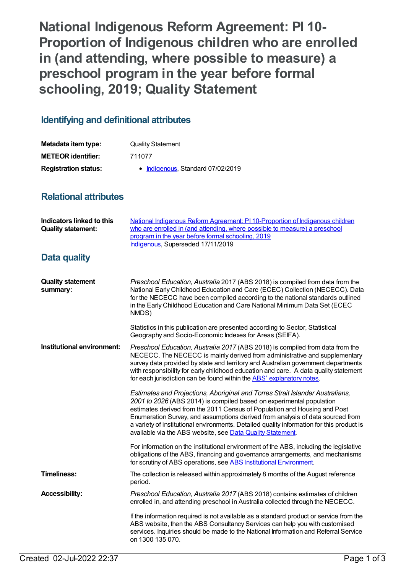**National Indigenous Reform Agreement: PI 10- Proportion of Indigenous children who are enrolled in (and attending, where possible to measure) a preschool program in the year before formal schooling, 2019; Quality Statement**

## **Identifying and definitional attributes**

| Metadata item type:         | <b>Quality Statement</b>          |
|-----------------------------|-----------------------------------|
| <b>METEOR identifier:</b>   | 711077                            |
| <b>Registration status:</b> | • Indigenous, Standard 07/02/2019 |

## **Relational attributes**

| <b>Indicators linked to this</b><br><b>Quality statement:</b> | National Indigenous Reform Agreement: PI 10-Proportion of Indigenous children<br>who are enrolled in (and attending, where possible to measure) a preschool<br>program in the year before formal schooling, 2019<br>Indigenous, Superseded 17/11/2019                                                                                                                                                                                                                           |
|---------------------------------------------------------------|---------------------------------------------------------------------------------------------------------------------------------------------------------------------------------------------------------------------------------------------------------------------------------------------------------------------------------------------------------------------------------------------------------------------------------------------------------------------------------|
| <b>Data quality</b>                                           |                                                                                                                                                                                                                                                                                                                                                                                                                                                                                 |
| <b>Quality statement</b><br>summary:                          | Preschool Education, Australia 2017 (ABS 2018) is compiled from data from the<br>National Early Childhood Education and Care (ECEC) Collection (NECECC). Data<br>for the NECECC have been compiled according to the national standards outlined<br>in the Early Childhood Education and Care National Minimum Data Set (ECEC<br>NMDS)                                                                                                                                           |
|                                                               | Statistics in this publication are presented according to Sector, Statistical<br>Geography and Socio-Economic Indexes for Areas (SEIFA).                                                                                                                                                                                                                                                                                                                                        |
| Institutional environment:                                    | Preschool Education, Australia 2017 (ABS 2018) is compiled from data from the<br>NECECC. The NECECC is mainly derived from administrative and supplementary<br>survey data provided by state and territory and Australian government departments<br>with responsibility for early childhood education and care. A data quality statement<br>for each jurisdiction can be found within the ABS' explanatory notes.                                                               |
|                                                               | Estimates and Projections, Aboriginal and Torres Strait Islander Australians,<br>2001 to 2026 (ABS 2014) is compiled based on experimental population<br>estimates derived from the 2011 Census of Population and Housing and Post<br>Enumeration Survey, and assumptions derived from analysis of data sourced from<br>a variety of institutional environments. Detailed quality information for this product is<br>available via the ABS website, see Data Quality Statement. |
|                                                               | For information on the institutional environment of the ABS, including the legislative<br>obligations of the ABS, financing and governance arrangements, and mechanisms<br>for scrutiny of ABS operations, see ABS Institutional Environment.                                                                                                                                                                                                                                   |
| <b>Timeliness:</b>                                            | The collection is released within approximately 8 months of the August reference<br>period.                                                                                                                                                                                                                                                                                                                                                                                     |
| <b>Accessibility:</b>                                         | Preschool Education, Australia 2017 (ABS 2018) contains estimates of children<br>enrolled in, and attending preschool in Australia collected through the NECECC.                                                                                                                                                                                                                                                                                                                |
|                                                               | If the information required is not available as a standard product or service from the<br>ABS website, then the ABS Consultancy Services can help you with customised<br>services. Inquiries should be made to the National Information and Referral Service<br>on 1300 135 070.                                                                                                                                                                                                |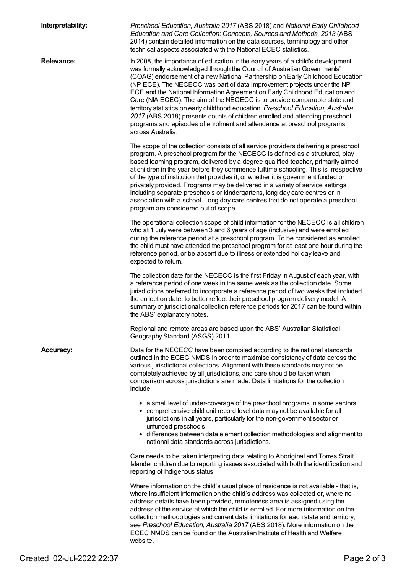| Interpretability: | Preschool Education, Australia 2017 (ABS 2018) and National Early Childhood<br>Education and Care Collection: Concepts, Sources and Methods, 2013 (ABS<br>2014) contain detailed information on the data sources, terminology and other<br>technical aspects associated with the National ECEC statistics.                                                                                                                                                                                                                                                                                                                                                                                                                                                |
|-------------------|-----------------------------------------------------------------------------------------------------------------------------------------------------------------------------------------------------------------------------------------------------------------------------------------------------------------------------------------------------------------------------------------------------------------------------------------------------------------------------------------------------------------------------------------------------------------------------------------------------------------------------------------------------------------------------------------------------------------------------------------------------------|
| <b>Relevance:</b> | In 2008, the importance of education in the early years of a child's development<br>was formally acknowledged through the Council of Australian Governments'<br>(COAG) endorsement of a new National Partnership on Early Childhood Education<br>(NP ECE). The NECECC was part of data improvement projects under the NP<br>ECE and the National Information Agreement on Early Childhood Education and<br>Care (NIA ECEC). The aim of the NECECC is to provide comparable state and<br>territory statistics on early childhood education. Preschool Education, Australia<br>2017 (ABS 2018) presents counts of children enrolled and attending preschool<br>programs and episodes of enrolment and attendance at preschool programs<br>across Australia. |
|                   | The scope of the collection consists of all service providers delivering a preschool<br>program. A preschool program for the NECECC is defined as a structured, play<br>based learning program, delivered by a degree qualified teacher, primarily aimed<br>at children in the year before they commence fulltime schooling. This is irrespective<br>of the type of institution that provides it, or whether it is government funded or<br>privately provided. Programs may be delivered in a variety of service settings<br>including separate preschools or kindergartens, long day care centres or in<br>association with a school. Long day care centres that do not operate a preschool<br>program are considered out of scope.                      |
|                   | The operational collection scope of child information for the NECECC is all children<br>who at 1 July were between 3 and 6 years of age (inclusive) and were enrolled<br>during the reference period at a preschool program. To be considered as enrolled,<br>the child must have attended the preschool program for at least one hour during the<br>reference period, or be absent due to illness or extended holiday leave and<br>expected to return.                                                                                                                                                                                                                                                                                                   |
|                   | The collection date for the NECECC is the first Friday in August of each year, with<br>a reference period of one week in the same week as the collection date. Some<br>jurisdictions preferred to incorporate a reference period of two weeks that included<br>the collection date, to better reflect their preschool program delivery model. A<br>summary of jurisdictional collection reference periods for 2017 can be found within<br>the ABS' explanatory notes.                                                                                                                                                                                                                                                                                     |
|                   | Regional and remote areas are based upon the ABS' Australian Statistical<br>Geography Standard (ASGS) 2011.                                                                                                                                                                                                                                                                                                                                                                                                                                                                                                                                                                                                                                               |
| <b>Accuracy:</b>  | Data for the NECECC have been compiled according to the national standards<br>outlined in the ECEC NMDS in order to maximise consistency of data across the<br>various jurisdictional collections. Alignment with these standards may not be<br>completely achieved by all jurisdictions, and care should be taken when<br>comparison across jurisdictions are made. Data limitations for the collection<br>include:                                                                                                                                                                                                                                                                                                                                      |
|                   | • a small level of under-coverage of the preschool programs in some sectors<br>• comprehensive child unit record level data may not be available for all<br>jurisdictions in all years, particularly for the non-government sector or<br>unfunded preschools<br>• differences between data element collection methodologies and alignment to<br>national data standards across jurisdictions.                                                                                                                                                                                                                                                                                                                                                             |
|                   | Care needs to be taken interpreting data relating to Aboriginal and Torres Strait<br>Islander children due to reporting issues associated with both the identification and<br>reporting of Indigenous status.                                                                                                                                                                                                                                                                                                                                                                                                                                                                                                                                             |
|                   | Where information on the child's usual place of residence is not available - that is,<br>where insufficient information on the child's address was collected or, where no<br>address details have been provided, remoteness area is assigned using the<br>address of the service at which the child is enrolled. For more information on the<br>collection methodologies and current data limitations for each state and territory,<br>see Preschool Education, Australia 2017 (ABS 2018). More information on the<br>ECEC NMDS can be found on the Australian Institute of Health and Welfare<br>website.                                                                                                                                                |